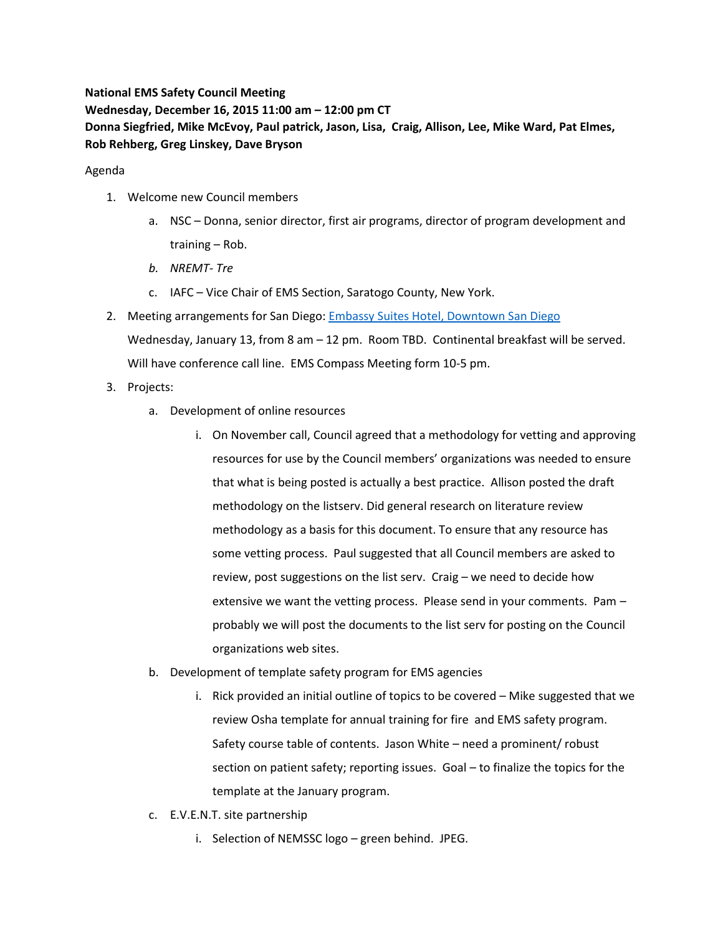**National EMS Safety Council Meeting Wednesday, December 16, 2015 11:00 am – 12:00 pm CT Donna Siegfried, Mike McEvoy, Paul patrick, Jason, Lisa, Craig, Allison, Lee, Mike Ward, Pat Elmes, Rob Rehberg, Greg Linskey, Dave Bryson**

Agenda

- 1. Welcome new Council members
	- a. NSC Donna, senior director, first air programs, director of program development and training – Rob.
	- *b. NREMT- Tre*
	- c. IAFC Vice Chair of EMS Section, Saratogo County, New York.
- 2. Meeting arrangements for San Diego: [Embassy Suites Hotel, Downtown San Diego](http://embassysuites3.hilton.com/en/hotels/california/embassy-suites-by-hilton-san-diego-bay-downtown-SANDNES/index.html) Wednesday, January 13, from 8 am – 12 pm. Room TBD. Continental breakfast will be served. Will have conference call line. EMS Compass Meeting form 10-5 pm.
- 3. Projects:
	- a. Development of online resources
		- i. On November call, Council agreed that a methodology for vetting and approving resources for use by the Council members' organizations was needed to ensure that what is being posted is actually a best practice. Allison posted the draft methodology on the listserv. Did general research on literature review methodology as a basis for this document. To ensure that any resource has some vetting process. Paul suggested that all Council members are asked to review, post suggestions on the list serv. Craig – we need to decide how extensive we want the vetting process. Please send in your comments. Pam – probably we will post the documents to the list serv for posting on the Council organizations web sites.
	- b. Development of template safety program for EMS agencies
		- i. Rick provided an initial outline of topics to be covered Mike suggested that we review Osha template for annual training for fire and EMS safety program. Safety course table of contents. Jason White – need a prominent/ robust section on patient safety; reporting issues. Goal – to finalize the topics for the template at the January program.
	- c. E.V.E.N.T. site partnership
		- i. Selection of NEMSSC logo green behind. JPEG.